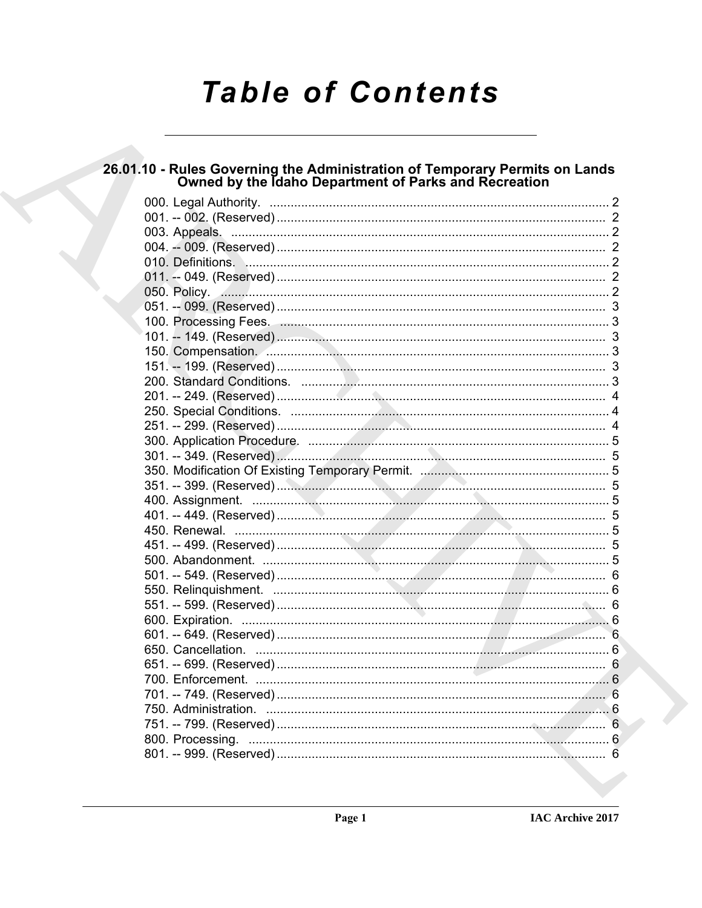# **Table of Contents**

# 26.01.10 - Rules Governing the Administration of Temporary Permits on Lands<br>Owned by the Idaho Department of Parks and Recreation

| 050. Policy. 2008. 2009. 2010. 2010. 2010. 2010. 2010. 2010. 2010. 2010. 2010. 2010. 2010. 2010. 2010. 2010. 2010. 2010. 2010. 2010. 2010. 2010. 2010. 2010. 2010. 2010. 2010. 2010. 2010. 2010. 2010. 2010. 2010. 2010. 2010. |  |
|--------------------------------------------------------------------------------------------------------------------------------------------------------------------------------------------------------------------------------|--|
|                                                                                                                                                                                                                                |  |
|                                                                                                                                                                                                                                |  |
|                                                                                                                                                                                                                                |  |
|                                                                                                                                                                                                                                |  |
|                                                                                                                                                                                                                                |  |
|                                                                                                                                                                                                                                |  |
|                                                                                                                                                                                                                                |  |
|                                                                                                                                                                                                                                |  |
|                                                                                                                                                                                                                                |  |
|                                                                                                                                                                                                                                |  |
|                                                                                                                                                                                                                                |  |
|                                                                                                                                                                                                                                |  |
|                                                                                                                                                                                                                                |  |
|                                                                                                                                                                                                                                |  |
|                                                                                                                                                                                                                                |  |
|                                                                                                                                                                                                                                |  |
|                                                                                                                                                                                                                                |  |
|                                                                                                                                                                                                                                |  |
|                                                                                                                                                                                                                                |  |
|                                                                                                                                                                                                                                |  |
|                                                                                                                                                                                                                                |  |
|                                                                                                                                                                                                                                |  |
|                                                                                                                                                                                                                                |  |
|                                                                                                                                                                                                                                |  |
|                                                                                                                                                                                                                                |  |
|                                                                                                                                                                                                                                |  |
|                                                                                                                                                                                                                                |  |
|                                                                                                                                                                                                                                |  |
|                                                                                                                                                                                                                                |  |
|                                                                                                                                                                                                                                |  |
|                                                                                                                                                                                                                                |  |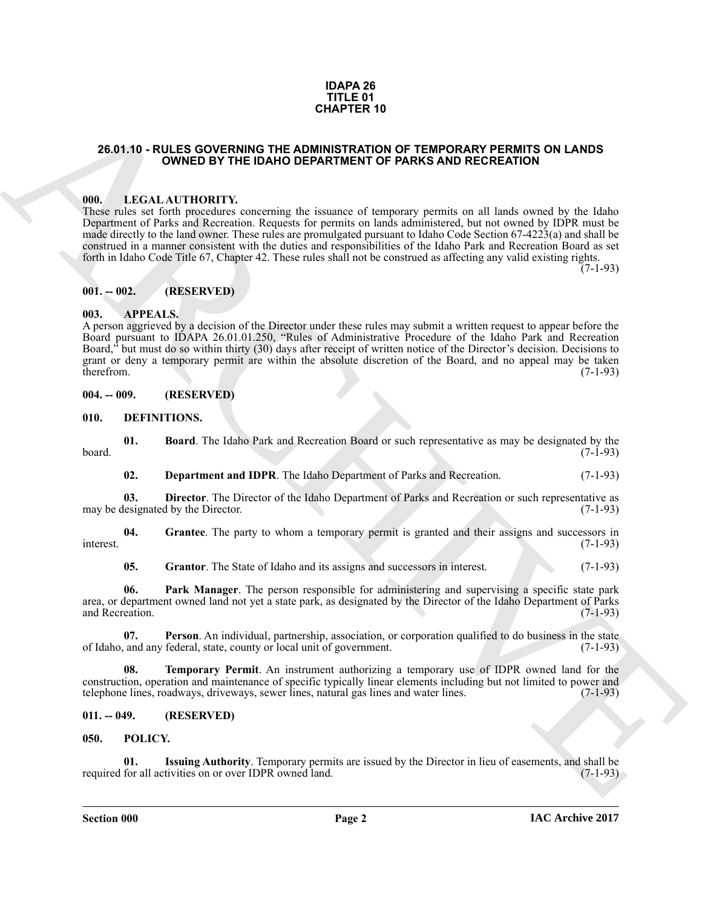#### **IDAPA 26 TITLE 01 CHAPTER 10**

### <span id="page-1-0"></span>**26.01.10 - RULES GOVERNING THE ADMINISTRATION OF TEMPORARY PERMITS ON LANDS OWNED BY THE IDAHO DEPARTMENT OF PARKS AND RECREATION**

#### <span id="page-1-1"></span>**000. LEGAL AUTHORITY.**

These rules set forth procedures concerning the issuance of temporary permits on all lands owned by the Idaho Department of Parks and Recreation. Requests for permits on lands administered, but not owned by IDPR must be made directly to the land owner. These rules are promulgated pursuant to Idaho Code Section 67-4223(a) and shall be construed in a manner consistent with the duties and responsibilities of the Idaho Park and Recreation Board as set forth in Idaho Code Title 67, Chapter 42. These rules shall not be construed as affecting any valid existing rights.

 $(7-1-93)$ 

#### <span id="page-1-2"></span>**001. -- 002. (RESERVED)**

#### <span id="page-1-3"></span>**003. APPEALS.**

**26.01.10 - RULES GOVERNING THE DAMO DEFARTMENT OF TEMPORARY PERMITS ON LANDS<br>
26.01.10 - GUVENING THE DAMO DEFARTMENT OF PARKS AND RECREATION<br>
1990. ILLIGAT AUTIONITY: consuming the issues of temporary permits on all lan** A person aggrieved by a decision of the Director under these rules may submit a written request to appear before the Board pursuant to IDAPA 26.01.01.250, "Rules of Administrative Procedure of the Idaho Park and Recreation Board," but must do so within thirty (30) days after receipt of written notice of the Director's decision. Decisions to grant or deny a temporary permit are within the absolute discretion of the Board, and no appeal may be taken therefrom. (7-1-93) therefrom. (7-1-93)

<span id="page-1-4"></span>**004. -- 009. (RESERVED)**

<span id="page-1-8"></span><span id="page-1-5"></span>**010. DEFINITIONS.**

**01. Board**. The Idaho Park and Recreation Board or such representative as may be designated by the (7-1-93)  $\beta$ board. (7-1-93)

<span id="page-1-11"></span><span id="page-1-10"></span><span id="page-1-9"></span>**02. Department and IDPR**. The Idaho Department of Parks and Recreation. (7-1-93)

**03. Director**. The Director of the Idaho Department of Parks and Recreation or such representative as lesignated by the Director. (7-1-93) may be designated by the Director.

**04. Grantee**. The party to whom a temporary permit is granted and their assigns and successors in interest. (7-1-93)

<span id="page-1-15"></span><span id="page-1-14"></span><span id="page-1-13"></span><span id="page-1-12"></span>**05.** Grantor. The State of Idaho and its assigns and successors in interest. (7-1-93)

**06. Park Manager**. The person responsible for administering and supervising a specific state park area, or department owned land not yet a state park, as designated by the Director of the Idaho Department of Parks and Recreation. (7-1-93)

**07. Person**. An individual, partnership, association, or corporation qualified to do business in the state of Idaho, and any federal, state, county or local unit of government. (7-1-93)

<span id="page-1-16"></span>**08. Temporary Permit**. An instrument authorizing a temporary use of IDPR owned land for the construction, operation and maintenance of specific typically linear elements including but not limited to power and telephone lines, roadways, driveways, sewer lines, natural gas lines and water lines. telephone lines, roadways, driveways, sewer lines, natural gas lines and water lines.

# <span id="page-1-6"></span>**011. -- 049. (RESERVED)**

# <span id="page-1-17"></span><span id="page-1-7"></span>**050. POLICY.**

<span id="page-1-18"></span>**01.** Issuing Authority. Temporary permits are issued by the Director in lieu of easements, and shall be for all activities on or over IDPR owned land. (7-1-93) required for all activities on or over IDPR owned land.

**Section 000 Page 2**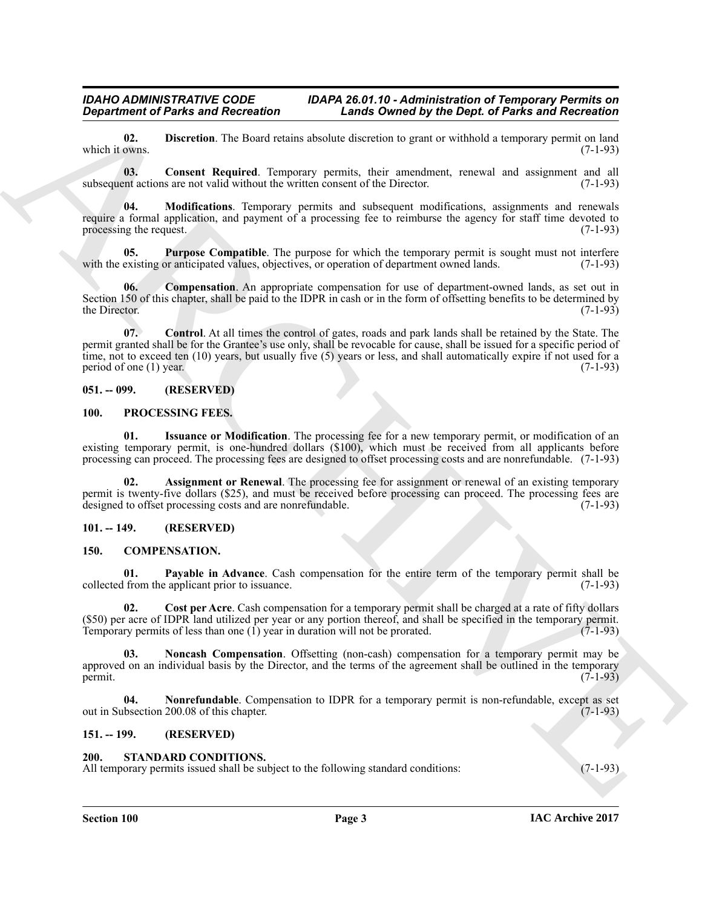### *IDAHO ADMINISTRATIVE CODE IDAPA 26.01.10 - Administration of Temporary Permits on Department of Parks and Recreation Lands Owned by the Dept. of Parks and Recreation*

<span id="page-2-14"></span>**02.** Discretion. The Board retains absolute discretion to grant or withhold a temporary permit on land which it owns. (7-1-93) which it owns.  $(7-1-93)$ 

<span id="page-2-12"></span>**03. Consent Required**. Temporary permits, their amendment, renewal and assignment and all subsequent actions are not valid without the written consent of the Director. (7-1-93)

<span id="page-2-15"></span>**04. Modifications**. Temporary permits and subsequent modifications, assignments and renewals require a formal application, and payment of a processing fee to reimburse the agency for staff time devoted to processing the request.  $(7-1-93)$ 

<span id="page-2-16"></span>**05. Purpose Compatible**. The purpose for which the temporary permit is sought must not interfere existing or anticipated values, objectives, or operation of department owned lands. (7-1-93) with the existing or anticipated values, objectives, or operation of department owned lands.

<span id="page-2-13"></span><span id="page-2-11"></span>**Compensation**. An appropriate compensation for use of department-owned lands, as set out in Section 150 of this chapter, shall be paid to the IDPR in cash or in the form of offsetting benefits to be determined by the Director. (7-1-93) the Director.  $(7-1-93)$ 

*Great from the Theorem State Content of the Content of the Content of the Content of the Content of the Content of the Content of the Content of the Content of the Content of the Content of the Content of the Content of* **07. Control**. At all times the control of gates, roads and park lands shall be retained by the State. The permit granted shall be for the Grantee's use only, shall be revocable for cause, shall be issued for a specific period of time, not to exceed ten (10) years, but usually five (5) years or less, and shall automatically expire if not used for a period of one (1) year.  $(7-1-93)$ 

# <span id="page-2-0"></span>**051. -- 099. (RESERVED)**

#### <span id="page-2-19"></span><span id="page-2-17"></span><span id="page-2-1"></span>**100. PROCESSING FEES.**

**01. Issuance or Modification**. The processing fee for a new temporary permit, or modification of an existing temporary permit, is one-hundred dollars (\$100), which must be received from all applicants before processing can proceed. The processing fees are designed to offset processing costs and are nonrefundable. (7-1-93)

<span id="page-2-18"></span>Assignment or Renewal. The processing fee for assignment or renewal of an existing temporary permit is twenty-five dollars (\$25), and must be received before processing can proceed. The processing fees are designed to offset processing costs and are nonrefundable. (7-1-93) designed to offset processing costs and are nonrefundable.

# <span id="page-2-2"></span>**101. -- 149. (RESERVED)**

#### <span id="page-2-10"></span><span id="page-2-6"></span><span id="page-2-3"></span>**150. COMPENSATION.**

**01. Payable in Advance**. Cash compensation for the entire term of the temporary permit shall be from the applicant prior to issuance. (7-1-93) collected from the applicant prior to issuance.

<span id="page-2-7"></span>**02.** Cost per Acre. Cash compensation for a temporary permit shall be charged at a rate of fifty dollars (\$50) per acre of IDPR land utilized per year or any portion thereof, and shall be specified in the temporary permit.<br>Temporary permits of less than one (1) year in duration will not be prorated.  $(7-1-93)$ Temporary permits of less than one  $(1)$  year in duration will not be prorated.

<span id="page-2-8"></span>**Noncash Compensation**. Offsetting (non-cash) compensation for a temporary permit may be approved on an individual basis by the Director, and the terms of the agreement shall be outlined in the temporary permit.  $(7-1-93)$ permit.  $(7-1-93)$ 

<span id="page-2-9"></span>**04.** Nonrefundable. Compensation to IDPR for a temporary permit is non-refundable, except as set bsection 200.08 of this chapter. (7-1-93) out in Subsection 200.08 of this chapter.

#### <span id="page-2-4"></span>**151. -- 199. (RESERVED)**

#### <span id="page-2-20"></span><span id="page-2-5"></span>**200. STANDARD CONDITIONS.**

All temporary permits issued shall be subject to the following standard conditions: (7-1-93)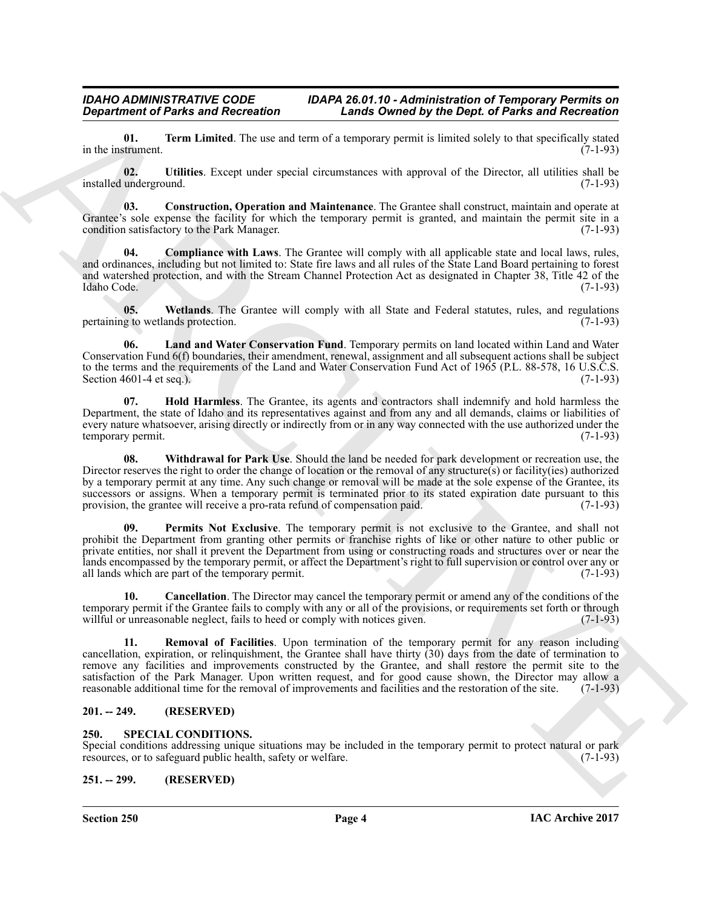# *IDAHO ADMINISTRATIVE CODE IDAPA 26.01.10 - Administration of Temporary Permits on*<br>Department of Parks and Recreation **I** Lands Owned by the Dept. of Parks and Recreation *Department of Parks and Recreation Lands Owned by the Dept. of Parks and Recreation*

<span id="page-3-11"></span>**01. Term Limited**. The use and term of a temporary permit is limited solely to that specifically stated (7-1-93) in the instrument.

<span id="page-3-12"></span>**02. Utilities**. Except under special circumstances with approval of the Director, all utilities shall be installed underground. (7-1-93)

<span id="page-3-6"></span>**03. Construction, Operation and Maintenance**. The Grantee shall construct, maintain and operate at Grantee's sole expense the facility for which the temporary permit is granted, and maintain the permit site in a condition satisfactory to the Park Manager. (7-1-93)

<span id="page-3-5"></span>**04. Compliance with Laws**. The Grantee will comply with all applicable state and local laws, rules, and ordinances, including but not limited to: State fire laws and all rules of the State Land Board pertaining to forest and watershed protection, and with the Stream Channel Protection Act as designated in Chapter 38, Title 42 of the Idaho Code. (7-1-93) Idaho Code. (7-1-93)

<span id="page-3-13"></span>**05.** Wetlands. The Grantee will comply with all State and Federal statutes, rules, and regulations g to wetlands protection. (7-1-93) pertaining to wetlands protection.

<span id="page-3-8"></span>**06. Land and Water Conservation Fund**. Temporary permits on land located within Land and Water Conservation Fund 6(f) boundaries, their amendment, renewal, assignment and all subsequent actions shall be subject to the terms and the requirements of the Land and Water Conservation Fund Act of 1965 (P.L. 88-578, 16 U.S.C.S. Section 4601-4 et seq.).  $(7-1-93)$ 

<span id="page-3-14"></span><span id="page-3-7"></span>**07. Hold Harmless**. The Grantee, its agents and contractors shall indemnify and hold harmless the Department, the state of Idaho and its representatives against and from any and all demands, claims or liabilities of every nature whatsoever, arising directly or indirectly from or in any way connected with the use authorized under the temporary permit. (7-1-93) temporary permit.

**Equivalent of Pairs and Recreation**<br>
In the multiplet of the same Recreation<br>
In the multiplet of the same Recreation<br>
In the same Recreation of the same Recreation of the same Recreation of the same Recreation<br>
In the s **08. Withdrawal for Park Use**. Should the land be needed for park development or recreation use, the Director reserves the right to order the change of location or the removal of any structure(s) or facility(ies) authorized by a temporary permit at any time. Any such change or removal will be made at the sole expense of the Grantee, its successors or assigns. When a temporary permit is terminated prior to its stated expiration date pursuant to this provision, the grantee will receive a pro-rata refund of compensation paid. (7-1-93)

<span id="page-3-9"></span>**09. Permits Not Exclusive**. The temporary permit is not exclusive to the Grantee, and shall not prohibit the Department from granting other permits or franchise rights of like or other nature to other public or private entities, nor shall it prevent the Department from using or constructing roads and structures over or near the lands encompassed by the temporary permit, or affect the Department's right to full supervision or control over any or all lands which are part of the temporary permit. (7-1-93)

<span id="page-3-4"></span>**10. Cancellation**. The Director may cancel the temporary permit or amend any of the conditions of the temporary permit if the Grantee fails to comply with any or all of the provisions, or requirements set forth or through willful or unreasonable neglect, fails to heed or comply with notices given. (7-1-93)

<span id="page-3-10"></span>**11. Removal of Facilities**. Upon termination of the temporary permit for any reason including cancellation, expiration, or relinquishment, the Grantee shall have thirty (30) days from the date of termination to remove any facilities and improvements constructed by the Grantee, and shall restore the permit site to the satisfaction of the Park Manager. Upon written request, and for good cause shown, the Director may allow a reasonable additional time for the removal of improvements and facilities and the restoration of the site. (7-1-93)

# <span id="page-3-0"></span>**201. -- 249. (RESERVED)**

#### <span id="page-3-3"></span><span id="page-3-1"></span>**250. SPECIAL CONDITIONS.**

Special conditions addressing unique situations may be included in the temporary permit to protect natural or park resources, or to safeguard public health, safety or welfare. (7-1-93) resources, or to safeguard public health, safety or welfare.

### <span id="page-3-2"></span>**251. -- 299. (RESERVED)**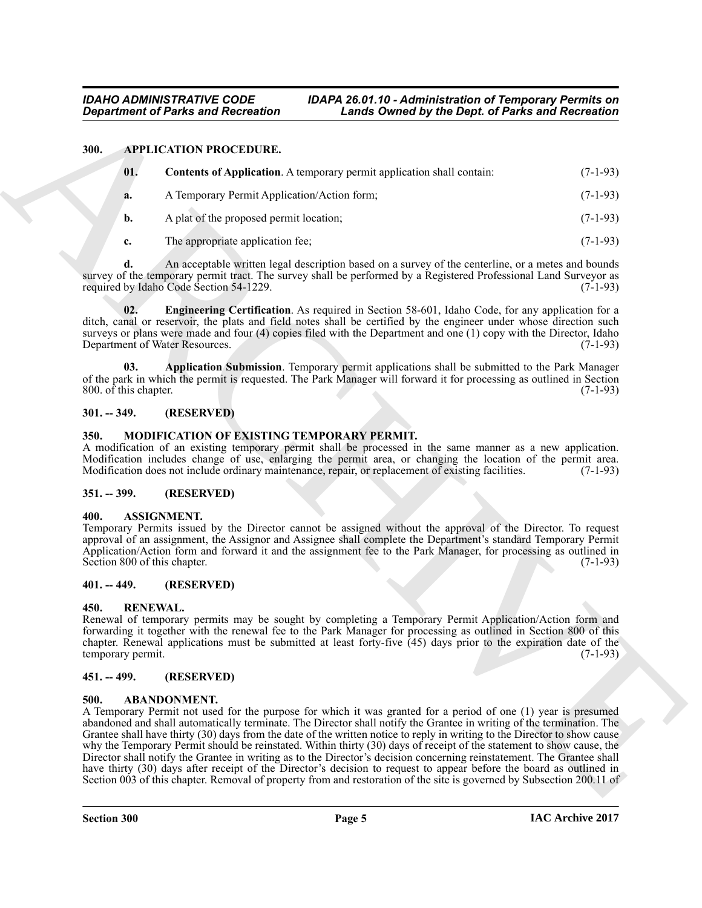#### <span id="page-4-0"></span>**300. APPLICATION PROCEDURE.**

<span id="page-4-12"></span><span id="page-4-10"></span>

| 01. | <b>Contents of Application.</b> A temporary permit application shall contain: | $(7-1-93)$ |
|-----|-------------------------------------------------------------------------------|------------|
| a.  | A Temporary Permit Application/Action form;                                   | $(7-1-93)$ |
|     | A plat of the proposed permit location;                                       | $(7-1-93)$ |

<span id="page-4-13"></span>**c.** The appropriate application fee; (7-1-93)

**d.** An acceptable written legal description based on a survey of the centerline, or a metes and bounds survey of the temporary permit tract. The survey shall be performed by a Registered Professional Land Surveyor as required by Idaho Code Section 54-1229. required by Idaho Code Section 54-1229.

**02. Engineering Certification**. As required in Section 58-601, Idaho Code, for any application for a ditch, canal or reservoir, the plats and field notes shall be certified by the engineer under whose direction such surveys or plans were made and four (4) copies filed with the Department and one (1) copy with the Director, Idaho Department of Water Resources. (7-1-93)

<span id="page-4-11"></span>**03. Application Submission**. Temporary permit applications shall be submitted to the Park Manager of the park in which the permit is requested. The Park Manager will forward it for processing as outlined in Section 800. of this chapter.  $(7-1-93)$ 800.  $\hat{\text{o}}$ f this chapter.

# <span id="page-4-1"></span>**301. -- 349. (RESERVED)**

#### <span id="page-4-15"></span><span id="page-4-2"></span>**350. MODIFICATION OF EXISTING TEMPORARY PERMIT.**

A modification of an existing temporary permit shall be processed in the same manner as a new application. Modification includes change of use, enlarging the permit area, or changing the location of the permit area. Modification does not include ordinary maintenance, repair, or replacement of existing facilities. (7-1-93)

#### <span id="page-4-3"></span>**351. -- 399. (RESERVED)**

#### <span id="page-4-14"></span><span id="page-4-4"></span>**400. ASSIGNMENT.**

Temporary Permits issued by the Director cannot be assigned without the approval of the Director. To request approval of an assignment, the Assignor and Assignee shall complete the Department's standard Temporary Permit Application/Action form and forward it and the assignment fee to the Park Manager, for processing as outlined in Section 800 of this chapter. (7-1-93) Section 800 of this chapter.

## <span id="page-4-5"></span>**401. -- 449. (RESERVED)**

#### <span id="page-4-16"></span><span id="page-4-6"></span>**450. RENEWAL.**

Renewal of temporary permits may be sought by completing a Temporary Permit Application/Action form and forwarding it together with the renewal fee to the Park Manager for processing as outlined in Section 800 of this chapter. Renewal applications must be submitted at least forty-five  $(45)$  days prior to the expiration date of the temporary permit.  $(7-1-93)$ temporary permit.

#### <span id="page-4-7"></span>**451. -- 499. (RESERVED)**

#### <span id="page-4-9"></span><span id="page-4-8"></span>**500. ABANDONMENT.**

**Equivariant of Parks and Recreation**<br> **ARCHIVE CONVENTION CONTINUES**<br> **ARCHIVE CONVENTION CONTINUES**<br> **ARCHIVE CONVENTION CONTINUES**<br> **ARCHIVE CONVENTION CONTINUES**<br> **ARCHIVE CONVENTION CONTINUES**<br> **ARCHIVE CONVENTION CO** A Temporary Permit not used for the purpose for which it was granted for a period of one (1) year is presumed abandoned and shall automatically terminate. The Director shall notify the Grantee in writing of the termination. The Grantee shall have thirty (30) days from the date of the written notice to reply in writing to the Director to show cause why the Temporary Permit should be reinstated. Within thirty (30) days of receipt of the statement to show cause, the Director shall notify the Grantee in writing as to the Director's decision concerning reinstatement. The Grantee shall have thirty (30) days after receipt of the Director's decision to request to appear before the board as outlined in Section 003 of this chapter. Removal of property from and restoration of the site is governed by Subsection 200.11 of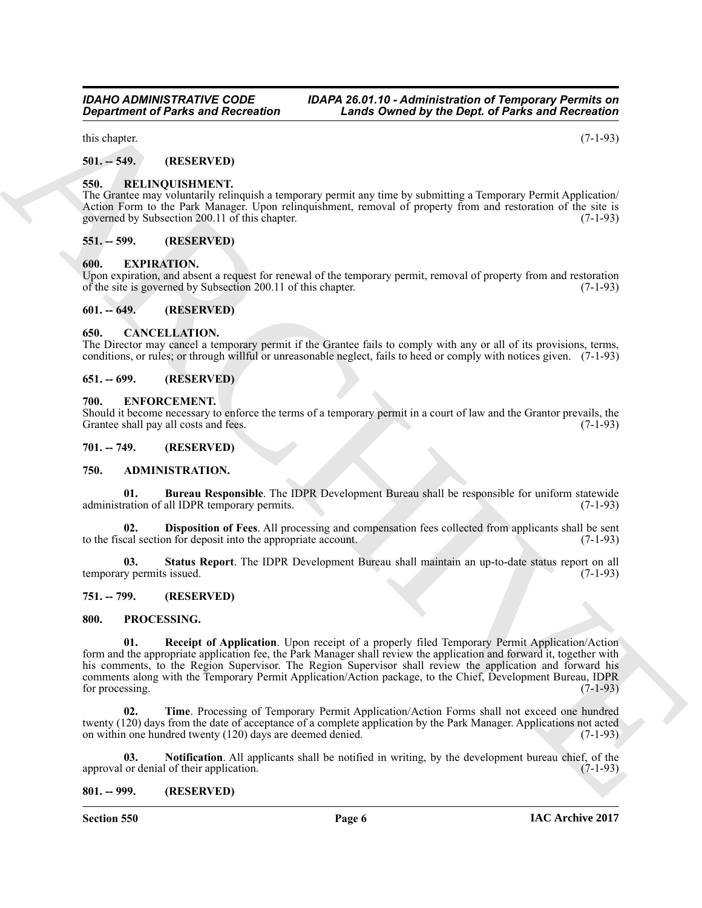this chapter.  $(7-1-93)$ 

<span id="page-5-0"></span>**501. -- 549. (RESERVED)**

#### <span id="page-5-24"></span><span id="page-5-1"></span>**550. RELINQUISHMENT.**

The Grantee may voluntarily relinquish a temporary permit any time by submitting a Temporary Permit Application/ Action Form to the Park Manager. Upon relinquishment, removal of property from and restoration of the site is governed by Subsection 200.11 of this chapter. (7-1-93)

#### <span id="page-5-2"></span>**551. -- 599. (RESERVED)**

#### <span id="page-5-19"></span><span id="page-5-3"></span>**600. EXPIRATION.**

Upon expiration, and absent a request for renewal of the temporary permit, removal of property from and restoration of the site is governed by Subsection 200.11 of this chapter. (7-1-93) of the site is governed by Subsection 200.11 of this chapter.

#### <span id="page-5-4"></span>**601. -- 649. (RESERVED)**

#### <span id="page-5-17"></span><span id="page-5-5"></span>**650. CANCELLATION.**

The Director may cancel a temporary permit if the Grantee fails to comply with any or all of its provisions, terms, conditions, or rules; or through willful or unreasonable neglect, fails to heed or comply with notices given. (7-1-93)

#### <span id="page-5-6"></span>**651. -- 699. (RESERVED)**

#### <span id="page-5-18"></span><span id="page-5-7"></span>**700. ENFORCEMENT.**

Should it become necessary to enforce the terms of a temporary permit in a court of law and the Grantor prevails, the Grantee shall pay all costs and fees.

# <span id="page-5-8"></span>**701. -- 749. (RESERVED)**

#### <span id="page-5-13"></span><span id="page-5-9"></span>**750. ADMINISTRATION.**

<span id="page-5-14"></span>**01. Bureau Responsible**. The IDPR Development Bureau shall be responsible for uniform statewide ration of all IDPR temporary permits. (7-1-93) administration of all IDPR temporary permits.

<span id="page-5-15"></span>**02. Disposition of Fees**. All processing and compensation fees collected from applicants shall be sent cal section for deposit into the appropriate account. (7-1-93) to the fiscal section for deposit into the appropriate account.

<span id="page-5-16"></span>**03. Status Report**. The IDPR Development Bureau shall maintain an up-to-date status report on all temporary permits issued. (7-1-93)

#### <span id="page-5-10"></span>**751. -- 799. (RESERVED)**

#### <span id="page-5-22"></span><span id="page-5-20"></span><span id="page-5-11"></span>**800. PROCESSING.**

**Equivariant of Parks and Recreation**<br>
Actual Constraints Constraints (1974)<br>
SM and the same of Recreation<br>
SM and FRIEND (RST-RVTH)<br>
SM and Extend the same of the same of the same of the same of parks for the same of th **01. Receipt of Application**. Upon receipt of a properly filed Temporary Permit Application/Action form and the appropriate application fee, the Park Manager shall review the application and forward it, together with his comments, to the Region Supervisor. The Region Supervisor shall review the application and forward his comments along with the Temporary Permit Application/Action package, to the Chief, Development Bureau, IDPR for processing. (7-1-93) for processing.

<span id="page-5-23"></span>**02. Time**. Processing of Temporary Permit Application/Action Forms shall not exceed one hundred twenty (120) days from the date of acceptance of a complete application by the Park Manager. Applications not acted<br>on within one hundred twenty (120) days are deemed denied. (7-1-93) on within one hundred twenty  $(120)$  days are deemed denied.

<span id="page-5-21"></span>**03.** Notification. All applicants shall be notified in writing, by the development bureau chief, of the or denial of their application. (7-1-93) approval or denial of their application.

#### <span id="page-5-12"></span>**801. -- 999. (RESERVED)**

**Section 550 Page 6**

*Department of Parks and Recreation Lands Owned by the Dept. of Parks and Recreation*